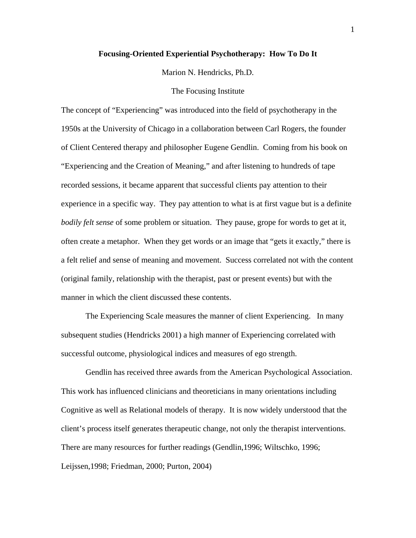# **Focusing-Oriented Experiential Psychotherapy: How To Do It**

Marion N. Hendricks, Ph.D.

#### The Focusing Institute

The concept of "Experiencing" was introduced into the field of psychotherapy in the 1950s at the University of Chicago in a collaboration between Carl Rogers, the founder of Client Centered therapy and philosopher Eugene Gendlin. Coming from his book on "Experiencing and the Creation of Meaning," and after listening to hundreds of tape recorded sessions, it became apparent that successful clients pay attention to their experience in a specific way. They pay attention to what is at first vague but is a definite *bodily felt sense* of some problem or situation. They pause, grope for words to get at it, often create a metaphor. When they get words or an image that "gets it exactly," there is a felt relief and sense of meaning and movement. Success correlated not with the content (original family, relationship with the therapist, past or present events) but with the manner in which the client discussed these contents.

The Experiencing Scale measures the manner of client Experiencing. In many subsequent studies (Hendricks 2001) a high manner of Experiencing correlated with successful outcome, physiological indices and measures of ego strength.

Gendlin has received three awards from the American Psychological Association. This work has influenced clinicians and theoreticians in many orientations including Cognitive as well as Relational models of therapy. It is now widely understood that the client's process itself generates therapeutic change, not only the therapist interventions. There are many resources for further readings (Gendlin,1996; Wiltschko, 1996; Leijssen,1998; Friedman, 2000; Purton, 2004)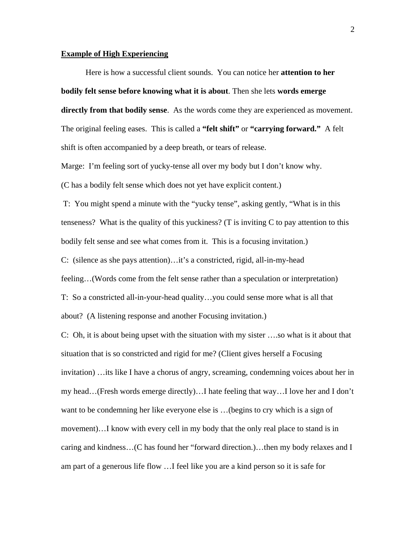# **Example of High Experiencing**

Here is how a successful client sounds. You can notice her **attention to her bodily felt sense before knowing what it is about**. Then she lets **words emerge directly from that bodily sense**. As the words come they are experienced as movement. The original feeling eases. This is called a **"felt shift"** or **"carrying forward."** A felt shift is often accompanied by a deep breath, or tears of release.

Marge: I'm feeling sort of yucky-tense all over my body but I don't know why. (C has a bodily felt sense which does not yet have explicit content.)

 T: You might spend a minute with the "yucky tense", asking gently, "What is in this tenseness? What is the quality of this yuckiness? (T is inviting C to pay attention to this bodily felt sense and see what comes from it. This is a focusing invitation.) C: (silence as she pays attention)…it's a constricted, rigid, all-in-my-head feeling…(Words come from the felt sense rather than a speculation or interpretation) T: So a constricted all-in-your-head quality…you could sense more what is all that about? (A listening response and another Focusing invitation.)

C: Oh, it is about being upset with the situation with my sister ….so what is it about that situation that is so constricted and rigid for me? (Client gives herself a Focusing invitation) …its like I have a chorus of angry, screaming, condemning voices about her in my head…(Fresh words emerge directly)…I hate feeling that way…I love her and I don't want to be condemning her like everyone else is …(begins to cry which is a sign of movement)…I know with every cell in my body that the only real place to stand is in caring and kindness…(C has found her "forward direction.)…then my body relaxes and I am part of a generous life flow …I feel like you are a kind person so it is safe for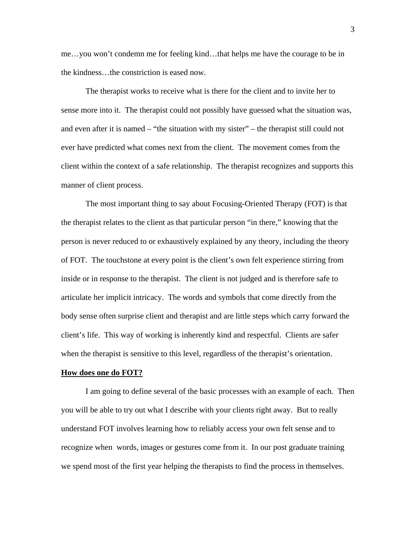me…you won't condemn me for feeling kind…that helps me have the courage to be in the kindness…the constriction is eased now.

The therapist works to receive what is there for the client and to invite her to sense more into it. The therapist could not possibly have guessed what the situation was, and even after it is named – "the situation with my sister" – the therapist still could not ever have predicted what comes next from the client. The movement comes from the client within the context of a safe relationship. The therapist recognizes and supports this manner of client process.

The most important thing to say about Focusing-Oriented Therapy (FOT) is that the therapist relates to the client as that particular person "in there," knowing that the person is never reduced to or exhaustively explained by any theory, including the theory of FOT. The touchstone at every point is the client's own felt experience stirring from inside or in response to the therapist. The client is not judged and is therefore safe to articulate her implicit intricacy. The words and symbols that come directly from the body sense often surprise client and therapist and are little steps which carry forward the client's life. This way of working is inherently kind and respectful. Clients are safer when the therapist is sensitive to this level, regardless of the therapist's orientation.

#### **How does one do FOT?**

I am going to define several of the basic processes with an example of each. Then you will be able to try out what I describe with your clients right away. But to really understand FOT involves learning how to reliably access your own felt sense and to recognize when words, images or gestures come from it. In our post graduate training we spend most of the first year helping the therapists to find the process in themselves.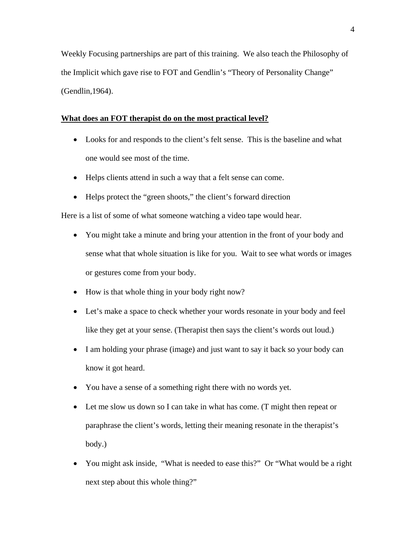Weekly Focusing partnerships are part of this training. We also teach the Philosophy of the Implicit which gave rise to FOT and Gendlin's "Theory of Personality Change" (Gendlin,1964).

# **What does an FOT therapist do on the most practical level?**

- Looks for and responds to the client's felt sense. This is the baseline and what one would see most of the time.
- Helps clients attend in such a way that a felt sense can come.
- Helps protect the "green shoots," the client's forward direction

Here is a list of some of what someone watching a video tape would hear.

- You might take a minute and bring your attention in the front of your body and sense what that whole situation is like for you. Wait to see what words or images or gestures come from your body.
- How is that whole thing in your body right now?
- Let's make a space to check whether your words resonate in your body and feel like they get at your sense. (Therapist then says the client's words out loud.)
- I am holding your phrase (image) and just want to say it back so your body can know it got heard.
- You have a sense of a something right there with no words yet.
- Let me slow us down so I can take in what has come. (T might then repeat or paraphrase the client's words, letting their meaning resonate in the therapist's body.)
- You might ask inside, "What is needed to ease this?" Or "What would be a right next step about this whole thing?"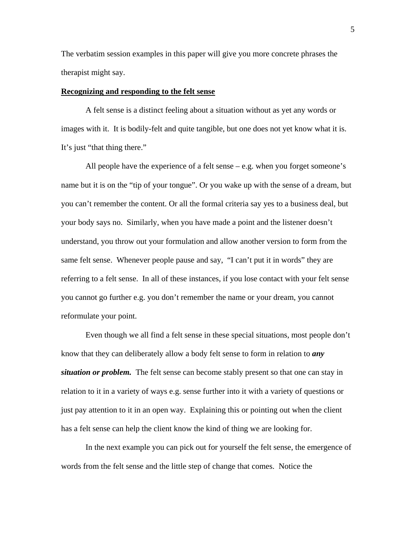The verbatim session examples in this paper will give you more concrete phrases the therapist might say.

## **Recognizing and responding to the felt sense**

A felt sense is a distinct feeling about a situation without as yet any words or images with it. It is bodily-felt and quite tangible, but one does not yet know what it is. It's just "that thing there."

All people have the experience of a felt sense – e.g. when you forget someone's name but it is on the "tip of your tongue". Or you wake up with the sense of a dream, but you can't remember the content. Or all the formal criteria say yes to a business deal, but your body says no. Similarly, when you have made a point and the listener doesn't understand, you throw out your formulation and allow another version to form from the same felt sense. Whenever people pause and say, "I can't put it in words" they are referring to a felt sense. In all of these instances, if you lose contact with your felt sense you cannot go further e.g. you don't remember the name or your dream, you cannot reformulate your point.

Even though we all find a felt sense in these special situations, most people don't know that they can deliberately allow a body felt sense to form in relation to *any situation or problem.* The felt sense can become stably present so that one can stay in relation to it in a variety of ways e.g. sense further into it with a variety of questions or just pay attention to it in an open way. Explaining this or pointing out when the client has a felt sense can help the client know the kind of thing we are looking for.

In the next example you can pick out for yourself the felt sense, the emergence of words from the felt sense and the little step of change that comes. Notice the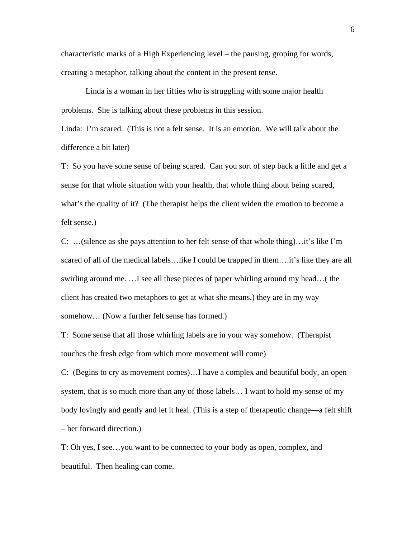characteristic marks of a High Experiencing level – the pausing, groping for words, creating a metaphor, talking about the content in the present tense.

Linda is a woman in her fifties who is struggling with some major health problems. She is talking about these problems in this session.

Linda: I'm scared. (This is not a felt sense. It is an emotion. We will talk about the difference a bit later)

T: So you have some sense of being scared. Can you sort of step back a little and get a sense for that whole situation with your health, that whole thing about being scared, what's the quality of it? (The therapist helps the client widen the emotion to become a felt sense.)

C: …(silence as she pays attention to her felt sense of that whole thing)…it's like I'm scared of all of the medical labels…like I could be trapped in them….it's like they are all swirling around me. …I see all these pieces of paper whirling around my head…( the client has created two metaphors to get at what she means.) they are in my way somehow… (Now a further felt sense has formed.)

T: Some sense that all those whirling labels are in your way somehow. (Therapist touches the fresh edge from which more movement will come)

C: (Begins to cry as movement comes)…I have a complex and beautiful body, an open system, that is so much more than any of those labels… I want to hold my sense of my body lovingly and gently and let it heal. (This is a step of therapeutic change—a felt shift – her forward direction.)

T: Oh yes, I see…you want to be connected to your body as open, complex, and beautiful. Then healing can come.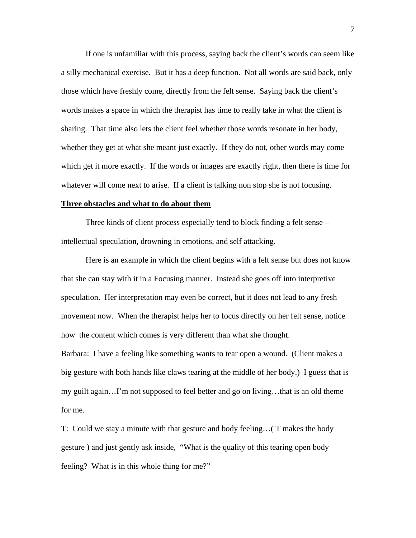If one is unfamiliar with this process, saying back the client's words can seem like a silly mechanical exercise. But it has a deep function. Not all words are said back, only those which have freshly come, directly from the felt sense. Saying back the client's words makes a space in which the therapist has time to really take in what the client is sharing. That time also lets the client feel whether those words resonate in her body, whether they get at what she meant just exactly. If they do not, other words may come which get it more exactly. If the words or images are exactly right, then there is time for whatever will come next to arise. If a client is talking non stop she is not focusing.

#### **Three obstacles and what to do about them**

Three kinds of client process especially tend to block finding a felt sense – intellectual speculation, drowning in emotions, and self attacking.

Here is an example in which the client begins with a felt sense but does not know that she can stay with it in a Focusing manner. Instead she goes off into interpretive speculation. Her interpretation may even be correct, but it does not lead to any fresh movement now. When the therapist helps her to focus directly on her felt sense, notice how the content which comes is very different than what she thought. Barbara: I have a feeling like something wants to tear open a wound. (Client makes a big gesture with both hands like claws tearing at the middle of her body.) I guess that is my guilt again…I'm not supposed to feel better and go on living…that is an old theme for me.

T: Could we stay a minute with that gesture and body feeling…( T makes the body gesture ) and just gently ask inside, "What is the quality of this tearing open body feeling? What is in this whole thing for me?"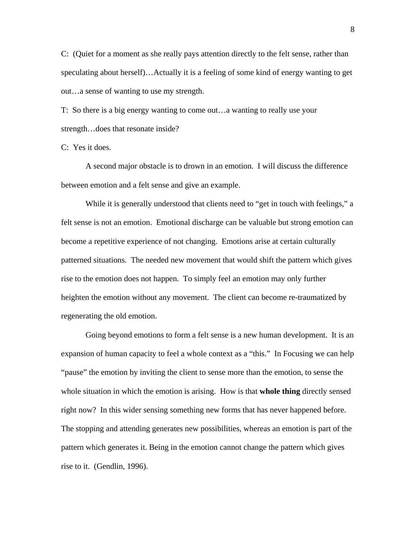C: (Quiet for a moment as she really pays attention directly to the felt sense, rather than speculating about herself)…Actually it is a feeling of some kind of energy wanting to get out…a sense of wanting to use my strength.

T: So there is a big energy wanting to come out…a wanting to really use your strength…does that resonate inside?

C: Yes it does.

A second major obstacle is to drown in an emotion. I will discuss the difference between emotion and a felt sense and give an example.

While it is generally understood that clients need to "get in touch with feelings," a felt sense is not an emotion. Emotional discharge can be valuable but strong emotion can become a repetitive experience of not changing. Emotions arise at certain culturally patterned situations. The needed new movement that would shift the pattern which gives rise to the emotion does not happen. To simply feel an emotion may only further heighten the emotion without any movement. The client can become re-traumatized by regenerating the old emotion.

Going beyond emotions to form a felt sense is a new human development. It is an expansion of human capacity to feel a whole context as a "this." In Focusing we can help "pause" the emotion by inviting the client to sense more than the emotion, to sense the whole situation in which the emotion is arising. How is that **whole thing** directly sensed right now? In this wider sensing something new forms that has never happened before. The stopping and attending generates new possibilities, whereas an emotion is part of the pattern which generates it. Being in the emotion cannot change the pattern which gives rise to it. (Gendlin, 1996).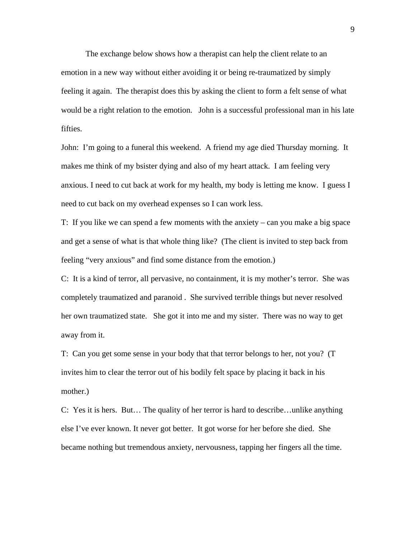The exchange below shows how a therapist can help the client relate to an emotion in a new way without either avoiding it or being re-traumatized by simply feeling it again. The therapist does this by asking the client to form a felt sense of what would be a right relation to the emotion. John is a successful professional man in his late fifties.

John: I'm going to a funeral this weekend. A friend my age died Thursday morning. It makes me think of my bsister dying and also of my heart attack. I am feeling very anxious. I need to cut back at work for my health, my body is letting me know. I guess I need to cut back on my overhead expenses so I can work less.

T: If you like we can spend a few moments with the anxiety – can you make a big space and get a sense of what is that whole thing like? (The client is invited to step back from feeling "very anxious" and find some distance from the emotion.)

C: It is a kind of terror, all pervasive, no containment, it is my mother's terror. She was completely traumatized and paranoid . She survived terrible things but never resolved her own traumatized state. She got it into me and my sister. There was no way to get away from it.

T: Can you get some sense in your body that that terror belongs to her, not you? (T invites him to clear the terror out of his bodily felt space by placing it back in his mother.)

C: Yes it is hers. But… The quality of her terror is hard to describe…unlike anything else I've ever known. It never got better. It got worse for her before she died. She became nothing but tremendous anxiety, nervousness, tapping her fingers all the time.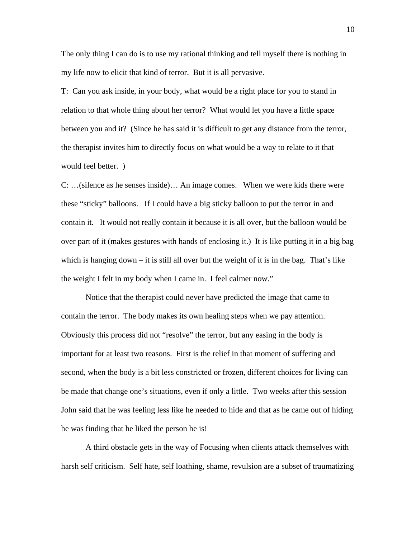The only thing I can do is to use my rational thinking and tell myself there is nothing in my life now to elicit that kind of terror. But it is all pervasive.

T: Can you ask inside, in your body, what would be a right place for you to stand in relation to that whole thing about her terror? What would let you have a little space between you and it? (Since he has said it is difficult to get any distance from the terror, the therapist invites him to directly focus on what would be a way to relate to it that would feel better. )

C: …(silence as he senses inside)… An image comes. When we were kids there were these "sticky" balloons. If I could have a big sticky balloon to put the terror in and contain it. It would not really contain it because it is all over, but the balloon would be over part of it (makes gestures with hands of enclosing it.) It is like putting it in a big bag which is hanging down – it is still all over but the weight of it is in the bag. That's like the weight I felt in my body when I came in. I feel calmer now."

Notice that the therapist could never have predicted the image that came to contain the terror. The body makes its own healing steps when we pay attention. Obviously this process did not "resolve" the terror, but any easing in the body is important for at least two reasons. First is the relief in that moment of suffering and second, when the body is a bit less constricted or frozen, different choices for living can be made that change one's situations, even if only a little. Two weeks after this session John said that he was feeling less like he needed to hide and that as he came out of hiding he was finding that he liked the person he is!

A third obstacle gets in the way of Focusing when clients attack themselves with harsh self criticism. Self hate, self loathing, shame, revulsion are a subset of traumatizing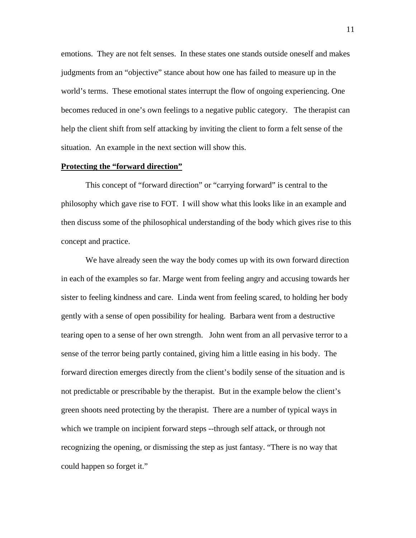emotions. They are not felt senses. In these states one stands outside oneself and makes judgments from an "objective" stance about how one has failed to measure up in the world's terms. These emotional states interrupt the flow of ongoing experiencing. One becomes reduced in one's own feelings to a negative public category. The therapist can help the client shift from self attacking by inviting the client to form a felt sense of the situation. An example in the next section will show this.

# **Protecting the "forward direction"**

This concept of "forward direction" or "carrying forward" is central to the philosophy which gave rise to FOT. I will show what this looks like in an example and then discuss some of the philosophical understanding of the body which gives rise to this concept and practice.

We have already seen the way the body comes up with its own forward direction in each of the examples so far. Marge went from feeling angry and accusing towards her sister to feeling kindness and care. Linda went from feeling scared, to holding her body gently with a sense of open possibility for healing. Barbara went from a destructive tearing open to a sense of her own strength. John went from an all pervasive terror to a sense of the terror being partly contained, giving him a little easing in his body. The forward direction emerges directly from the client's bodily sense of the situation and is not predictable or prescribable by the therapist. But in the example below the client's green shoots need protecting by the therapist. There are a number of typical ways in which we trample on incipient forward steps --through self attack, or through not recognizing the opening, or dismissing the step as just fantasy. "There is no way that could happen so forget it."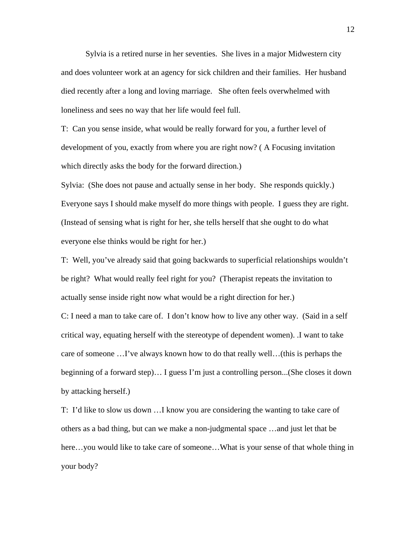Sylvia is a retired nurse in her seventies. She lives in a major Midwestern city and does volunteer work at an agency for sick children and their families. Her husband died recently after a long and loving marriage. She often feels overwhelmed with loneliness and sees no way that her life would feel full.

T: Can you sense inside, what would be really forward for you, a further level of development of you, exactly from where you are right now? ( A Focusing invitation which directly asks the body for the forward direction.)

Sylvia: (She does not pause and actually sense in her body. She responds quickly.) Everyone says I should make myself do more things with people. I guess they are right. (Instead of sensing what is right for her, she tells herself that she ought to do what everyone else thinks would be right for her.)

T: Well, you've already said that going backwards to superficial relationships wouldn't be right? What would really feel right for you? (Therapist repeats the invitation to actually sense inside right now what would be a right direction for her.)

C: I need a man to take care of. I don't know how to live any other way. (Said in a self critical way, equating herself with the stereotype of dependent women). .I want to take care of someone …I've always known how to do that really well…(this is perhaps the beginning of a forward step)… I guess I'm just a controlling person...(She closes it down by attacking herself.)

T: I'd like to slow us down …I know you are considering the wanting to take care of others as a bad thing, but can we make a non-judgmental space …and just let that be here…you would like to take care of someone…What is your sense of that whole thing in your body?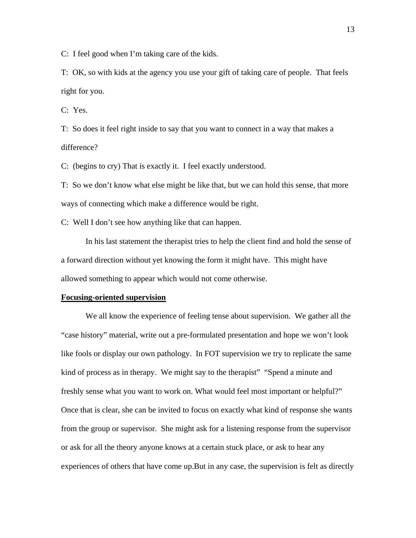C: I feel good when I'm taking care of the kids.

T: OK, so with kids at the agency you use your gift of taking care of people. That feels right for you.

C: Yes.

T: So does it feel right inside to say that you want to connect in a way that makes a difference?

C: (begins to cry) That is exactly it. I feel exactly understood.

T: So we don't know what else might be like that, but we can hold this sense, that more ways of connecting which make a difference would be right.

C: Well I don't see how anything like that can happen.

In his last statement the therapist tries to help the client find and hold the sense of a forward direction without yet knowing the form it might have. This might have allowed something to appear which would not come otherwise.

#### **Focusing-oriented supervision**

We all know the experience of feeling tense about supervision. We gather all the "case history" material, write out a pre-formulated presentation and hope we won't look like fools or display our own pathology. In FOT supervision we try to replicate the same kind of process as in therapy. We might say to the therapist" "Spend a minute and freshly sense what you want to work on. What would feel most important or helpful?" Once that is clear, she can be invited to focus on exactly what kind of response she wants from the group or supervisor. She might ask for a listening response from the supervisor or ask for all the theory anyone knows at a certain stuck place, or ask to hear any experiences of others that have come up.But in any case, the supervision is felt as directly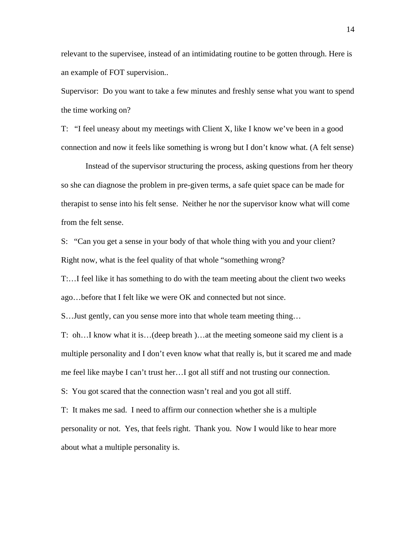relevant to the supervisee, instead of an intimidating routine to be gotten through. Here is an example of FOT supervision..

Supervisor: Do you want to take a few minutes and freshly sense what you want to spend the time working on?

T: "I feel uneasy about my meetings with Client X, like I know we've been in a good connection and now it feels like something is wrong but I don't know what. (A felt sense)

Instead of the supervisor structuring the process, asking questions from her theory so she can diagnose the problem in pre-given terms, a safe quiet space can be made for therapist to sense into his felt sense. Neither he nor the supervisor know what will come from the felt sense.

S: "Can you get a sense in your body of that whole thing with you and your client? Right now, what is the feel quality of that whole "something wrong?

T:…I feel like it has something to do with the team meeting about the client two weeks ago…before that I felt like we were OK and connected but not since.

S…Just gently, can you sense more into that whole team meeting thing…

T: oh…I know what it is…(deep breath )…at the meeting someone said my client is a multiple personality and I don't even know what that really is, but it scared me and made me feel like maybe I can't trust her…I got all stiff and not trusting our connection.

S: You got scared that the connection wasn't real and you got all stiff.

T: It makes me sad. I need to affirm our connection whether she is a multiple personality or not. Yes, that feels right. Thank you. Now I would like to hear more about what a multiple personality is.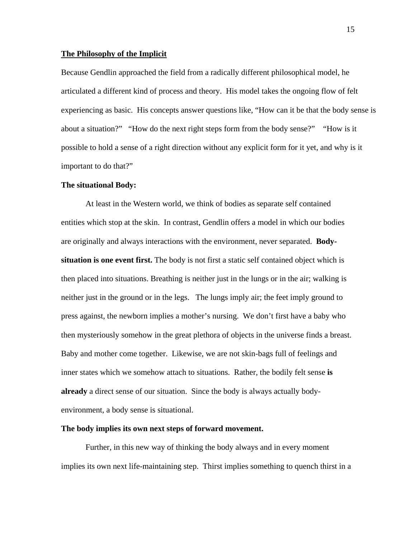# **The Philosophy of the Implicit**

Because Gendlin approached the field from a radically different philosophical model, he articulated a different kind of process and theory. His model takes the ongoing flow of felt experiencing as basic. His concepts answer questions like, "How can it be that the body sense is about a situation?" "How do the next right steps form from the body sense?" "How is it possible to hold a sense of a right direction without any explicit form for it yet, and why is it important to do that?"

#### **The situational Body:**

At least in the Western world, we think of bodies as separate self contained entities which stop at the skin. In contrast, Gendlin offers a model in which our bodies are originally and always interactions with the environment, never separated. **Bodysituation is one event first.** The body is not first a static self contained object which is then placed into situations. Breathing is neither just in the lungs or in the air; walking is neither just in the ground or in the legs. The lungs imply air; the feet imply ground to press against, the newborn implies a mother's nursing. We don't first have a baby who then mysteriously somehow in the great plethora of objects in the universe finds a breast. Baby and mother come together. Likewise, we are not skin-bags full of feelings and inner states which we somehow attach to situations. Rather, the bodily felt sense **is already** a direct sense of our situation. Since the body is always actually bodyenvironment, a body sense is situational.

#### **The body implies its own next steps of forward movement.**

Further, in this new way of thinking the body always and in every moment implies its own next life-maintaining step. Thirst implies something to quench thirst in a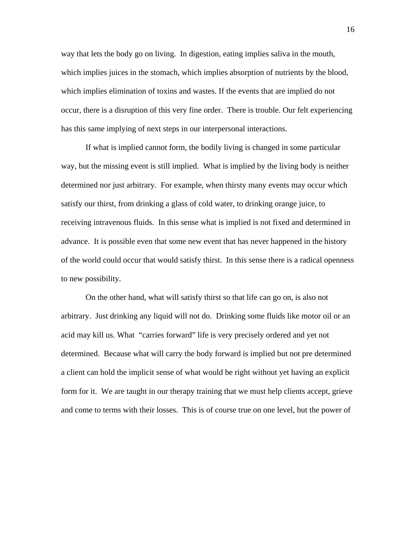way that lets the body go on living. In digestion, eating implies saliva in the mouth, which implies juices in the stomach, which implies absorption of nutrients by the blood, which implies elimination of toxins and wastes. If the events that are implied do not occur, there is a disruption of this very fine order. There is trouble. Our felt experiencing has this same implying of next steps in our interpersonal interactions.

If what is implied cannot form, the bodily living is changed in some particular way, but the missing event is still implied. What is implied by the living body is neither determined nor just arbitrary. For example, when thirsty many events may occur which satisfy our thirst, from drinking a glass of cold water, to drinking orange juice, to receiving intravenous fluids. In this sense what is implied is not fixed and determined in advance. It is possible even that some new event that has never happened in the history of the world could occur that would satisfy thirst. In this sense there is a radical openness to new possibility.

On the other hand, what will satisfy thirst so that life can go on, is also not arbitrary. Just drinking any liquid will not do. Drinking some fluids like motor oil or an acid may kill us. What "carries forward" life is very precisely ordered and yet not determined. Because what will carry the body forward is implied but not pre determined a client can hold the implicit sense of what would be right without yet having an explicit form for it. We are taught in our therapy training that we must help clients accept, grieve and come to terms with their losses. This is of course true on one level, but the power of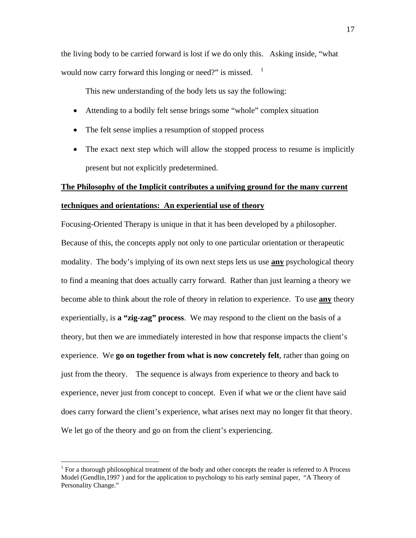the living body to be carried forward is lost if we do only this. Asking inside, "what would now carry forward this longing or need?" is missed.  $1$ 

This new understanding of the body lets us say the following:

- Attending to a bodily felt sense brings some "whole" complex situation
- The felt sense implies a resumption of stopped process
- The exact next step which will allow the stopped process to resume is implicitly present but not explicitly predetermined.

# **The Philosophy of the Implicit contributes a unifying ground for the many current**

# **techniques and orientations: An experiential use of theory**

Focusing-Oriented Therapy is unique in that it has been developed by a philosopher. Because of this, the concepts apply not only to one particular orientation or therapeutic modality. The body's implying of its own next steps lets us use **any** psychological theory to find a meaning that does actually carry forward. Rather than just learning a theory we become able to think about the role of theory in relation to experience. To use **any** theory experientially, is **a "zig-zag" process**. We may respond to the client on the basis of a theory, but then we are immediately interested in how that response impacts the client's experience. We **go on together from what is now concretely felt**, rather than going on just from the theory. The sequence is always from experience to theory and back to experience, never just from concept to concept. Even if what we or the client have said does carry forward the client's experience, what arises next may no longer fit that theory. We let go of the theory and go on from the client's experiencing.

 $\overline{a}$ 

 $1$  For a thorough philosophical treatment of the body and other concepts the reader is referred to A Process Model (Gendlin,1997 ) and for the application to psychology to his early seminal paper, "A Theory of Personality Change."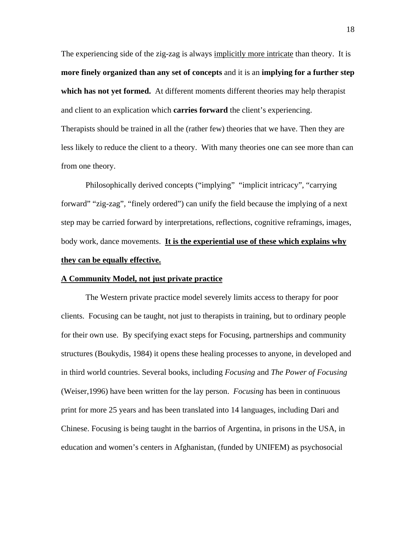The experiencing side of the zig-zag is always implicitly more intricate than theory. It is **more finely organized than any set of concepts** and it is an **implying for a further step which has not yet formed.** At different moments different theories may help therapist and client to an explication which **carries forward** the client's experiencing. Therapists should be trained in all the (rather few) theories that we have. Then they are less likely to reduce the client to a theory. With many theories one can see more than can from one theory.

Philosophically derived concepts ("implying" "implicit intricacy", "carrying forward" "zig-zag", "finely ordered") can unify the field because the implying of a next step may be carried forward by interpretations, reflections, cognitive reframings, images, body work, dance movements. **It is the experiential use of these which explains why they can be equally effective.** 

# **A Community Model, not just private practice**

The Western private practice model severely limits access to therapy for poor clients. Focusing can be taught, not just to therapists in training, but to ordinary people for their own use. By specifying exact steps for Focusing, partnerships and community structures (Boukydis, 1984) it opens these healing processes to anyone, in developed and in third world countries. Several books, including *Focusing* and *The Power of Focusing* (Weiser,1996) have been written for the lay person. *Focusing* has been in continuous print for more 25 years and has been translated into 14 languages, including Dari and Chinese. Focusing is being taught in the barrios of Argentina, in prisons in the USA, in education and women's centers in Afghanistan, (funded by UNIFEM) as psychosocial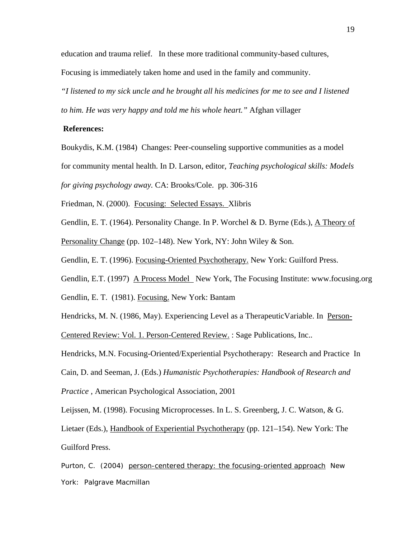education and trauma relief. In these more traditional community-based cultures,

Focusing is immediately taken home and used in the family and community.

*"I listened to my sick uncle and he brought all his medicines for me to see and I listened to him. He was very happy and told me his whole heart."* Afghan villager

# **References:**

Boukydis, K.M. (1984) Changes: Peer-counseling supportive communities as a model

for community mental health. In D. Larson, editor, *Teaching psychological skills: Models* 

*for giving psychology away.* CA: Brooks/Cole. pp. 306-316

Friedman, N. (2000). Focusing: Selected Essays. Xlibris

Gendlin, E. T. (1964). Personality Change. In P. Worchel & D. Byrne (Eds.), A Theory of

Personality Change (pp. 102–148). New York, NY: John Wiley & Son.

Gendlin, E. T. (1996). Focusing-Oriented Psychotherapy. New York: Guilford Press.

Gendlin, E.T. (1997) A Process Model New York, The Focusing Institute: www.focusing.org

Gendlin, E. T. (1981). Focusing. New York: Bantam

Hendricks, M. N. (1986, May). Experiencing Level as a Therapeutic Variable. In Person-

Centered Review: Vol. 1. Person-Centered Review. : Sage Publications, Inc..

Hendricks, M.N. Focusing-Oriented/Experiential Psychotherapy: Research and Practice In

Cain, D. and Seeman, J. (Eds.) *Humanistic Psychotherapies: Handbook of Research and* 

*Practice* , American Psychological Association, 2001

Leijssen, M. (1998). Focusing Microprocesses. In L. S. Greenberg, J. C. Watson, & G.

Lietaer (Eds.), Handbook of Experiential Psychotherapy (pp. 121–154). New York: The Guilford Press.

Purton, C. (2004) person-centered therapy: the focusing-oriented approach New York: Palgrave Macmillan